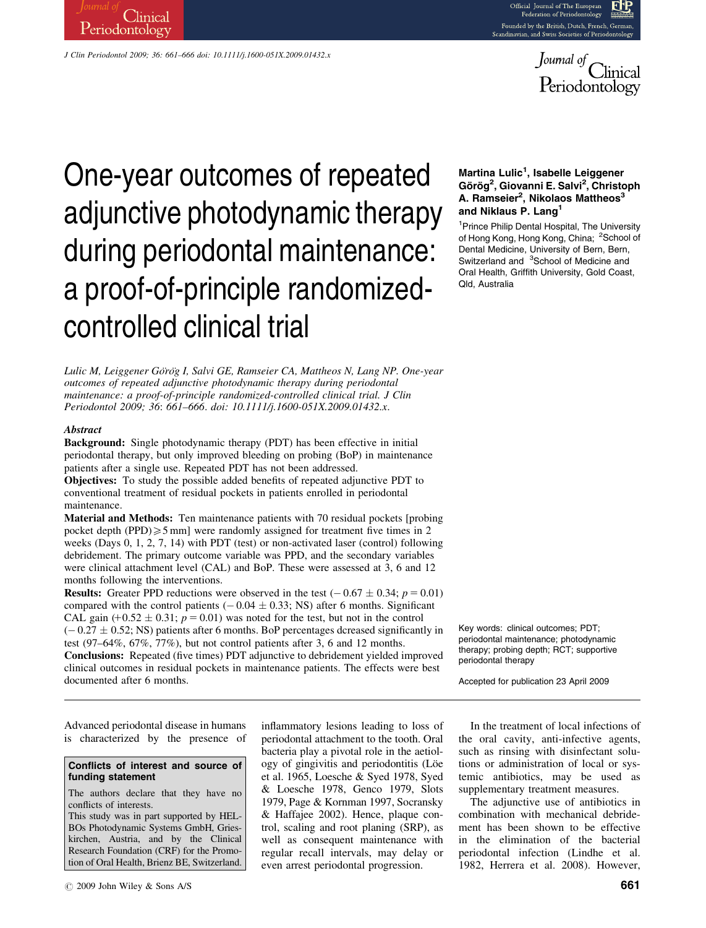

# J Clin Periodontol 2009; 36: 661–666 doi: 10.1111/j.1600-051X.2009.01432.x

Clinical

Periodontology

# One-year outcomes of repeated adjunctive photodynamic therapy during periodontal maintenance: a proof-of-principle randomizedcontrolled clinical trial

Lulic M, Leiggener Görög I, Salvi GE, Ramseier CA, Mattheos N, Lang NP. One-year outcomes of repeated adjunctive photodynamic therapy during periodontal maintenance: a proof-of-principle randomized-controlled clinical trial. J Clin Periodontol 2009; 36: 661–666. doi: 10.1111/j.1600-051X.2009.01432.x.

## **Abstract**

Background: Single photodynamic therapy (PDT) has been effective in initial periodontal therapy, but only improved bleeding on probing (BoP) in maintenance patients after a single use. Repeated PDT has not been addressed.

Objectives: To study the possible added benefits of repeated adjunctive PDT to conventional treatment of residual pockets in patients enrolled in periodontal maintenance.

Material and Methods: Ten maintenance patients with 70 residual pockets [probing pocket depth (PPD) $\geq 5$  mm] were randomly assigned for treatment five times in 2 weeks (Days 0, 1, 2, 7, 14) with PDT (test) or non-activated laser (control) following debridement. The primary outcome variable was PPD, and the secondary variables were clinical attachment level (CAL) and BoP. These were assessed at 3, 6 and 12 months following the interventions.

**Results:** Greater PPD reductions were observed in the test  $(-0.67 \pm 0.34; p = 0.01)$ compared with the control patients  $(-0.04 \pm 0.33;$  NS) after 6 months. Significant CAL gain  $(+0.52 \pm 0.31; p = 0.01)$  was noted for the test, but not in the control  $(-0.27 \pm 0.52;$  NS) patients after 6 months. BoP percentages dcreased significantly in test (97–64%, 67%, 77%), but not control patients after 3, 6 and 12 months. Conclusions: Repeated (five times) PDT adjunctive to debridement yielded improved clinical outcomes in residual pockets in maintenance patients. The effects were best documented after 6 months.

# Martina Lulic<sup>1</sup>, Isabelle Leiggener Görög<sup>2</sup>, Giovanni E. Salvi<sup>2</sup>, Christoph A. Ramseier<sup>2</sup>, Nikolaos Mattheos<sup>3</sup> and Niklaus P. Lang<sup>1</sup>

<sup>1</sup> Prince Philip Dental Hospital, The University of Hong Kong, Hong Kong, China; <sup>2</sup>School of Dental Medicine, University of Bern, Bern, Switzerland and <sup>3</sup>School of Medicine and Oral Health, Griffith University, Gold Coast, Qld, Australia

Key words: clinical outcomes; PDT; periodontal maintenance; photodynamic therapy; probing depth; RCT; supportive periodontal therapy

Accepted for publication 23 April 2009

Advanced periodontal disease in humans is characterized by the presence of

## Conflicts of interest and source of funding statement

The authors declare that they have no conflicts of interests.

This study was in part supported by HEL-BOs Photodynamic Systems GmbH, Grieskirchen, Austria, and by the Clinical Research Foundation (CRF) for the Promotion of Oral Health, Brienz BE, Switzerland. inflammatory lesions leading to loss of periodontal attachment to the tooth. Oral bacteria play a pivotal role in the aetiology of gingivitis and periodontitis (Löe et al. 1965, Loesche & Syed 1978, Syed & Loesche 1978, Genco 1979, Slots 1979, Page & Kornman 1997, Socransky & Haffajee 2002). Hence, plaque control, scaling and root planing (SRP), as well as consequent maintenance with regular recall intervals, may delay or even arrest periodontal progression.

In the treatment of local infections of the oral cavity, anti-infective agents, such as rinsing with disinfectant solutions or administration of local or systemic antibiotics, may be used as supplementary treatment measures.

The adjunctive use of antibiotics in combination with mechanical debridement has been shown to be effective in the elimination of the bacterial periodontal infection (Lindhe et al. 1982, Herrera et al. 2008). However,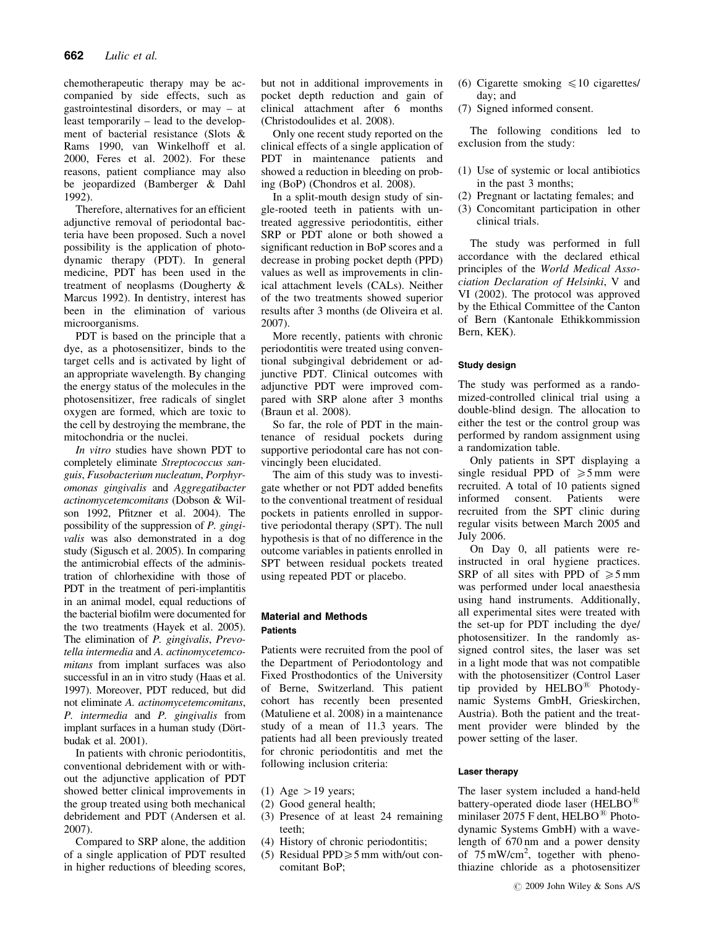chemotherapeutic therapy may be accompanied by side effects, such as gastrointestinal disorders, or may – at least temporarily – lead to the development of bacterial resistance (Slots & Rams 1990, van Winkelhoff et al. 2000, Feres et al. 2002). For these reasons, patient compliance may also be jeopardized (Bamberger & Dahl 1992).

Therefore, alternatives for an efficient adjunctive removal of periodontal bacteria have been proposed. Such a novel possibility is the application of photodynamic therapy (PDT). In general medicine, PDT has been used in the treatment of neoplasms (Dougherty & Marcus 1992). In dentistry, interest has been in the elimination of various microorganisms.

PDT is based on the principle that a dye, as a photosensitizer, binds to the target cells and is activated by light of an appropriate wavelength. By changing the energy status of the molecules in the photosensitizer, free radicals of singlet oxygen are formed, which are toxic to the cell by destroying the membrane, the mitochondria or the nuclei.

In vitro studies have shown PDT to completely eliminate Streptococcus sanguis, Fusobacterium nucleatum, Porphyromonas gingivalis and Aggregatibacter actinomycetemcomitans (Dobson & Wilson 1992, Pfitzner et al. 2004). The possibility of the suppression of P. gingivalis was also demonstrated in a dog study (Sigusch et al. 2005). In comparing the antimicrobial effects of the administration of chlorhexidine with those of PDT in the treatment of peri-implantitis in an animal model, equal reductions of the bacterial biofilm were documented for the two treatments (Hayek et al. 2005). The elimination of P. gingivalis, Prevotella intermedia and A. actinomycetemcomitans from implant surfaces was also successful in an in vitro study (Haas et al. 1997). Moreover, PDT reduced, but did not eliminate A. actinomycetemcomitans, P. intermedia and P. gingivalis from implant surfaces in a human study (Dörtbudak et al. 2001).

In patients with chronic periodontitis, conventional debridement with or without the adjunctive application of PDT showed better clinical improvements in the group treated using both mechanical debridement and PDT (Andersen et al. 2007).

Compared to SRP alone, the addition of a single application of PDT resulted in higher reductions of bleeding scores,

but not in additional improvements in pocket depth reduction and gain of clinical attachment after 6 months (Christodoulides et al. 2008).

Only one recent study reported on the clinical effects of a single application of PDT in maintenance patients and showed a reduction in bleeding on probing (BoP) (Chondros et al. 2008).

In a split-mouth design study of single-rooted teeth in patients with untreated aggressive periodontitis, either SRP or PDT alone or both showed a significant reduction in BoP scores and a decrease in probing pocket depth (PPD) values as well as improvements in clinical attachment levels (CALs). Neither of the two treatments showed superior results after 3 months (de Oliveira et al. 2007).

More recently, patients with chronic periodontitis were treated using conventional subgingival debridement or adjunctive PDT. Clinical outcomes with adjunctive PDT were improved compared with SRP alone after 3 months (Braun et al. 2008).

So far, the role of PDT in the maintenance of residual pockets during supportive periodontal care has not convincingly been elucidated.

The aim of this study was to investigate whether or not PDT added benefits to the conventional treatment of residual pockets in patients enrolled in supportive periodontal therapy (SPT). The null hypothesis is that of no difference in the outcome variables in patients enrolled in SPT between residual pockets treated using repeated PDT or placebo.

# Material and Methods Patients

Patients were recruited from the pool of the Department of Periodontology and Fixed Prosthodontics of the University of Berne, Switzerland. This patient cohort has recently been presented (Matuliene et al. 2008) in a maintenance study of a mean of 11.3 years. The patients had all been previously treated for chronic periodontitis and met the following inclusion criteria:

- (1) Age  $>$  19 years;
- (2) Good general health;
- (3) Presence of at least 24 remaining teeth;
- (4) History of chronic periodontitis;
- (5) Residual PPD $\geq 5$  mm with/out concomitant BoP;
- (6) Cigarette smoking  $\leq 10$  cigarettes/ day; and
- (7) Signed informed consent.

The following conditions led to exclusion from the study:

- (1) Use of systemic or local antibiotics in the past 3 months;
- (2) Pregnant or lactating females; and
- (3) Concomitant participation in other clinical trials.

The study was performed in full accordance with the declared ethical principles of the World Medical Association Declaration of Helsinki, V and VI (2002). The protocol was approved by the Ethical Committee of the Canton of Bern (Kantonale Ethikkommission Bern, KEK).

# Study design

The study was performed as a randomized-controlled clinical trial using a double-blind design. The allocation to either the test or the control group was performed by random assignment using a randomization table.

Only patients in SPT displaying a single residual PPD of  $\geq 5$  mm were recruited. A total of 10 patients signed<br>informed consent. Patients were informed recruited from the SPT clinic during regular visits between March 2005 and July 2006.

On Day 0, all patients were reinstructed in oral hygiene practices. SRP of all sites with PPD of  $\ge 5$  mm was performed under local anaesthesia using hand instruments. Additionally, all experimental sites were treated with the set-up for PDT including the dye/ photosensitizer. In the randomly assigned control sites, the laser was set in a light mode that was not compatible with the photosensitizer (Control Laser tip provided by  $HELBO^{\circledR}$  Photodynamic Systems GmbH, Grieskirchen, Austria). Both the patient and the treatment provider were blinded by the power setting of the laser.

# Laser therapy

The laser system included a hand-held battery-operated diode laser (HELBO $<sup>8</sup>$ </sup> minilaser 2075 F dent, HELBO $^{\circledR}$  Photodynamic Systems GmbH) with a wavelength of 670 nm and a power density of 75 mW/cm<sup>2</sup>, together with phenothiazine chloride as a photosensitizer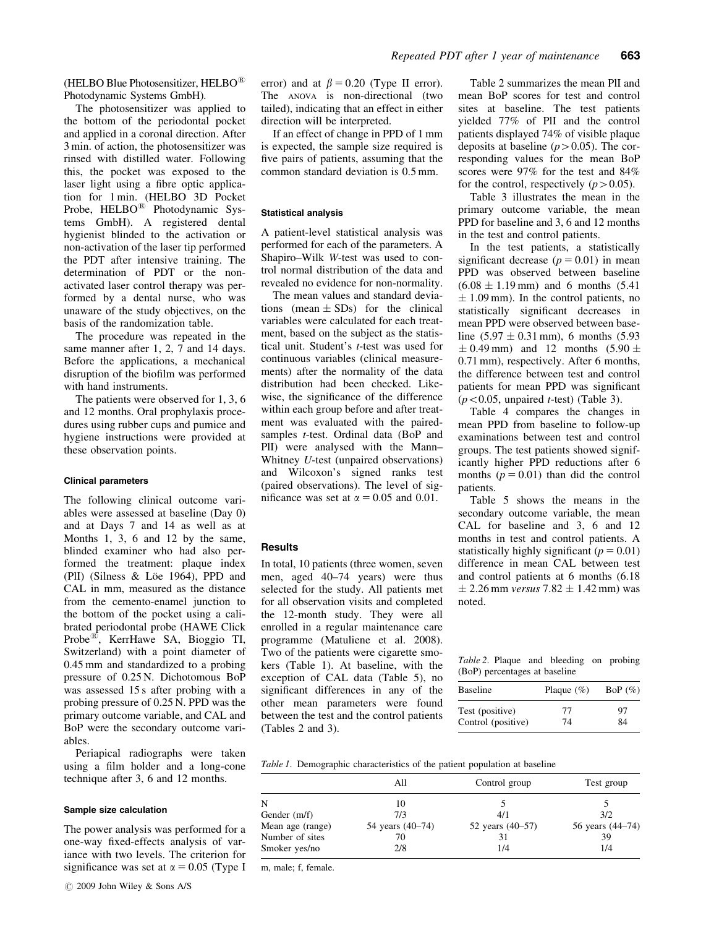(HELBO Blue Photosensitizer, HELBO $^{\circledR}$ Photodynamic Systems GmbH).

The photosensitizer was applied to the bottom of the periodontal pocket and applied in a coronal direction. After 3 min. of action, the photosensitizer was rinsed with distilled water. Following this, the pocket was exposed to the laser light using a fibre optic application for 1 min. (HELBO 3D Pocket Probe, HELBO<sup>®</sup> Photodynamic Systems GmbH). A registered dental hygienist blinded to the activation or non-activation of the laser tip performed the PDT after intensive training. The determination of PDT or the nonactivated laser control therapy was performed by a dental nurse, who was unaware of the study objectives, on the basis of the randomization table.

The procedure was repeated in the same manner after 1, 2, 7 and 14 days. Before the applications, a mechanical disruption of the biofilm was performed with hand instruments.

The patients were observed for 1, 3, 6 and 12 months. Oral prophylaxis procedures using rubber cups and pumice and hygiene instructions were provided at these observation points.

#### Clinical parameters

The following clinical outcome variables were assessed at baseline (Day 0) and at Days 7 and 14 as well as at Months 1, 3, 6 and 12 by the same, blinded examiner who had also performed the treatment: plaque index (PII) (Silness  $& Loe$  1964), PPD and CAL in mm, measured as the distance from the cemento-enamel junction to the bottom of the pocket using a calibrated periodontal probe (HAWE Click Probe<sup>®</sup>, KerrHawe SA, Bioggio TI, Switzerland) with a point diameter of 0.45 mm and standardized to a probing pressure of 0.25 N. Dichotomous BoP was assessed 15 s after probing with a probing pressure of 0.25 N. PPD was the primary outcome variable, and CAL and BoP were the secondary outcome variables.

Periapical radiographs were taken using a film holder and a long-cone technique after 3, 6 and 12 months.

#### Sample size calculation

The power analysis was performed for a one-way fixed-effects analysis of variance with two levels. The criterion for significance was set at  $\alpha = 0.05$  (Type I

If an effect of change in PPD of 1 mm is expected, the sample size required is five pairs of patients, assuming that the common standard deviation is 0.5 mm.

#### Statistical analysis

A patient-level statistical analysis was performed for each of the parameters. A Shapiro–Wilk W-test was used to control normal distribution of the data and revealed no evidence for non-normality.

The mean values and standard deviations (mean  $\pm$  SDs) for the clinical variables were calculated for each treatment, based on the subject as the statistical unit. Student's t-test was used for continuous variables (clinical measurements) after the normality of the data distribution had been checked. Likewise, the significance of the difference within each group before and after treatment was evaluated with the pairedsamples *t*-test. Ordinal data (BoP and PlI) were analysed with the Mann– Whitney U-test (unpaired observations) and Wilcoxon's signed ranks test (paired observations). The level of significance was set at  $\alpha = 0.05$  and 0.01.

#### **Results**

In total, 10 patients (three women, seven men, aged 40–74 years) were thus selected for the study. All patients met for all observation visits and completed the 12-month study. They were all enrolled in a regular maintenance care programme (Matuliene et al. 2008). Two of the patients were cigarette smokers (Table 1). At baseline, with the exception of CAL data (Table 5), no significant differences in any of the other mean parameters were found between the test and the control patients (Tables 2 and 3).

Table 2 summarizes the mean PlI and mean BoP scores for test and control sites at baseline. The test patients yielded 77% of PlI and the control patients displayed 74% of visible plaque deposits at baseline  $(p>0.05)$ . The corresponding values for the mean BoP scores were 97% for the test and 84% for the control, respectively  $(p>0.05)$ .

Table 3 illustrates the mean in the primary outcome variable, the mean PPD for baseline and 3, 6 and 12 months in the test and control patients.

In the test patients, a statistically significant decrease  $(p = 0.01)$  in mean PPD was observed between baseline  $(6.08 \pm 1.19 \,\text{mm})$  and 6 months  $(5.41)$  $\pm$  1.09 mm). In the control patients, no statistically significant decreases in mean PPD were observed between baseline  $(5.97 \pm 0.31 \text{ mm})$ , 6 months  $(5.93$  $\pm$  0.49 mm) and 12 months (5.90  $\pm$ 0.71 mm), respectively. After 6 months, the difference between test and control patients for mean PPD was significant  $(p<0.05$ , unpaired *t*-test) (Table 3).

Table 4 compares the changes in mean PPD from baseline to follow-up examinations between test and control groups. The test patients showed significantly higher PPD reductions after 6 months  $(p = 0.01)$  than did the control patients.

Table 5 shows the means in the secondary outcome variable, the mean CAL for baseline and 3, 6 and 12 months in test and control patients. A statistically highly significant ( $p = 0.01$ ) difference in mean CAL between test and control patients at 6 months (6.18  $\pm$  2.26 mm versus 7.82  $\pm$  1.42 mm) was noted.

Table 2. Plaque and bleeding on probing (BoP) percentages at baseline

| <b>Baseline</b>    | Plaque $(\%)$ | BoP $(\%)$ |
|--------------------|---------------|------------|
| Test (positive)    | 77            | 97         |
| Control (positive) | 74            | 84         |

Table 1. Demographic characteristics of the patient population at baseline

|                  | All              | Control group    | Test group       |
|------------------|------------------|------------------|------------------|
| N                | 10               |                  |                  |
| Gender $(m/f)$   | 7/3              | 4/1              | 3/2              |
| Mean age (range) | 54 years (40–74) | 52 years (40–57) | 56 years (44–74) |
| Number of sites  | 70               |                  | 39               |
| Smoker yes/no    | 2/8              | 1/4              | 1/4              |

m, male; f, female.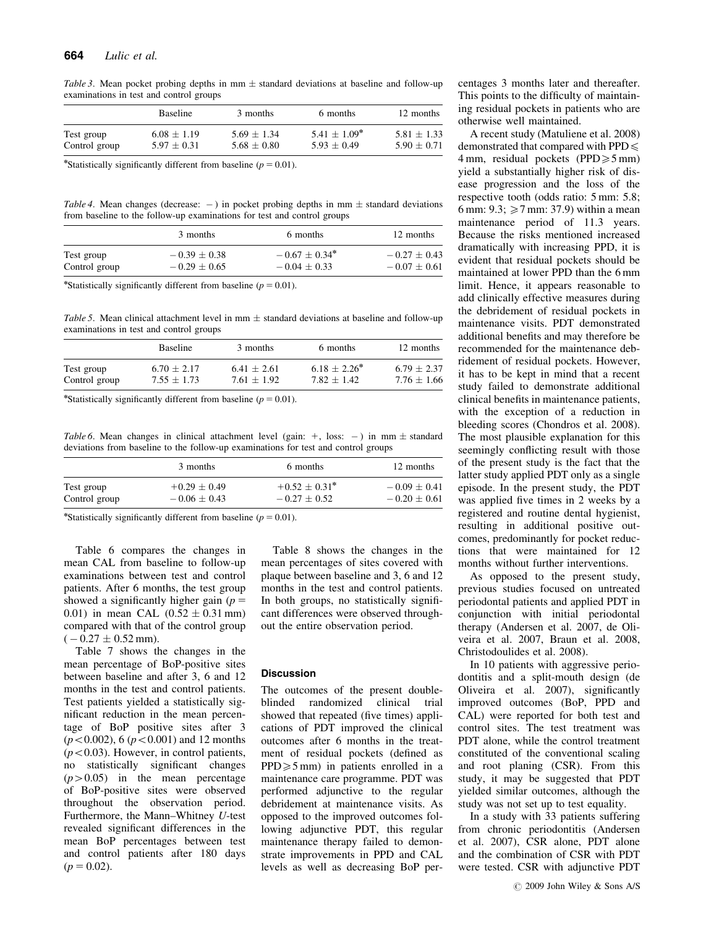Table 3. Mean pocket probing depths in mm  $\pm$  standard deviations at baseline and follow-up examinations in test and control groups

|               | Baseline        | 3 months        | 6 months          | 12 months       |
|---------------|-----------------|-----------------|-------------------|-----------------|
| Test group    | $6.08 \pm 1.19$ | $5.69 + 1.34$   | $5.41 \pm 1.09^*$ | $5.81 \pm 1.33$ |
| Control group | $5.97 \pm 0.31$ | $5.68 \pm 0.80$ | $5.93 + 0.49$     | $5.90 + 0.71$   |

\*Statistically significantly different from baseline ( $p = 0.01$ ).

Table 4. Mean changes (decrease:  $-$ ) in pocket probing depths in mm  $\pm$  standard deviations from baseline to the follow-up examinations for test and control groups

|               | 3 months         | 6 months                           | 12 months        |
|---------------|------------------|------------------------------------|------------------|
| Test group    | $-0.39 \pm 0.38$ | $-0.67 + 0.34^*$<br>$-0.04 + 0.33$ | $-0.27 + 0.43$   |
| Control group | $-0.29 \pm 0.65$ |                                    | $-0.07 \pm 0.61$ |

\*Statistically significantly different from baseline ( $p = 0.01$ ).

Table 5. Mean clinical attachment level in mm  $\pm$  standard deviations at baseline and follow-up examinations in test and control groups

|               | <b>Baseline</b> | 3 months        | 6 months          | 12 months       |
|---------------|-----------------|-----------------|-------------------|-----------------|
| Test group    | $6.70 + 2.17$   | $6.41 \pm 2.61$ | $6.18 \pm 2.26^*$ | $6.79 + 2.37$   |
| Control group | $7.55 \pm 1.73$ | $7.61 \pm 1.92$ | $7.82 + 1.42$     | $7.76 \pm 1.66$ |

\*Statistically significantly different from baseline ( $p = 0.01$ ).

Table 6. Mean changes in clinical attachment level (gain:  $+$ , loss:  $-$ ) in mm  $\pm$  standard deviations from baseline to the follow-up examinations for test and control groups

|               | 3 months         | 6 months           | 12 months        |
|---------------|------------------|--------------------|------------------|
| Test group    | $+0.29 \pm 0.49$ | $+0.52 \pm 0.31$ * | $-0.09 + 0.41$   |
| Control group | $-0.06 \pm 0.43$ | $-0.27 + 0.52$     | $-0.20 \pm 0.61$ |

\*Statistically significantly different from baseline ( $p = 0.01$ ).

Table 6 compares the changes in mean CAL from baseline to follow-up examinations between test and control patients. After 6 months, the test group showed a significantly higher gain ( $p =$ 0.01) in mean CAL  $(0.52 \pm 0.31 \text{ mm})$ compared with that of the control group  $(-0.27 \pm 0.52 \,\text{mm}).$ 

Table 7 shows the changes in the mean percentage of BoP-positive sites between baseline and after 3, 6 and 12 months in the test and control patients. Test patients yielded a statistically significant reduction in the mean percentage of BoP positive sites after 3  $(p<0.002)$ , 6 ( $p<0.001$ ) and 12 months  $(p<0.03)$ . However, in control patients, no statistically significant changes  $(p>0.05)$  in the mean percentage of BoP-positive sites were observed throughout the observation period. Furthermore, the Mann–Whitney U-test revealed significant differences in the mean BoP percentages between test and control patients after 180 days  $(p = 0.02)$ .

Table 8 shows the changes in the mean percentages of sites covered with plaque between baseline and 3, 6 and 12 months in the test and control patients. In both groups, no statistically significant differences were observed throughout the entire observation period.

#### **Discussion**

The outcomes of the present doubleblinded randomized clinical trial showed that repeated (five times) applications of PDT improved the clinical outcomes after 6 months in the treatment of residual pockets (defined as  $PPD \ge 5$  mm) in patients enrolled in a maintenance care programme. PDT was performed adjunctive to the regular debridement at maintenance visits. As opposed to the improved outcomes following adjunctive PDT, this regular maintenance therapy failed to demonstrate improvements in PPD and CAL levels as well as decreasing BoP percentages 3 months later and thereafter. This points to the difficulty of maintaining residual pockets in patients who are otherwise well maintained.

A recent study (Matuliene et al. 2008) demonstrated that compared with  $PPD \leq$ 4 mm, residual pockets (PPD $\geq 5$  mm) yield a substantially higher risk of disease progression and the loss of the respective tooth (odds ratio: 5 mm: 5.8; 6 mm:  $9.3$ ;  $\geq 7$  mm: 37.9) within a mean maintenance period of 11.3 years. Because the risks mentioned increased dramatically with increasing PPD, it is evident that residual pockets should be maintained at lower PPD than the 6 mm limit. Hence, it appears reasonable to add clinically effective measures during the debridement of residual pockets in maintenance visits. PDT demonstrated additional benefits and may therefore be recommended for the maintenance debridement of residual pockets. However, it has to be kept in mind that a recent study failed to demonstrate additional clinical benefits in maintenance patients, with the exception of a reduction in bleeding scores (Chondros et al. 2008). The most plausible explanation for this seemingly conflicting result with those of the present study is the fact that the latter study applied PDT only as a single episode. In the present study, the PDT was applied five times in 2 weeks by a registered and routine dental hygienist, resulting in additional positive outcomes, predominantly for pocket reductions that were maintained for 12 months without further interventions.

As opposed to the present study, previous studies focused on untreated periodontal patients and applied PDT in conjunction with initial periodontal therapy (Andersen et al. 2007, de Oliveira et al. 2007, Braun et al. 2008, Christodoulides et al. 2008).

In 10 patients with aggressive periodontitis and a split-mouth design (de Oliveira et al. 2007), significantly improved outcomes (BoP, PPD and CAL) were reported for both test and control sites. The test treatment was PDT alone, while the control treatment constituted of the conventional scaling and root planing (CSR). From this study, it may be suggested that PDT yielded similar outcomes, although the study was not set up to test equality.

In a study with 33 patients suffering from chronic periodontitis (Andersen et al. 2007), CSR alone, PDT alone and the combination of CSR with PDT were tested. CSR with adjunctive PDT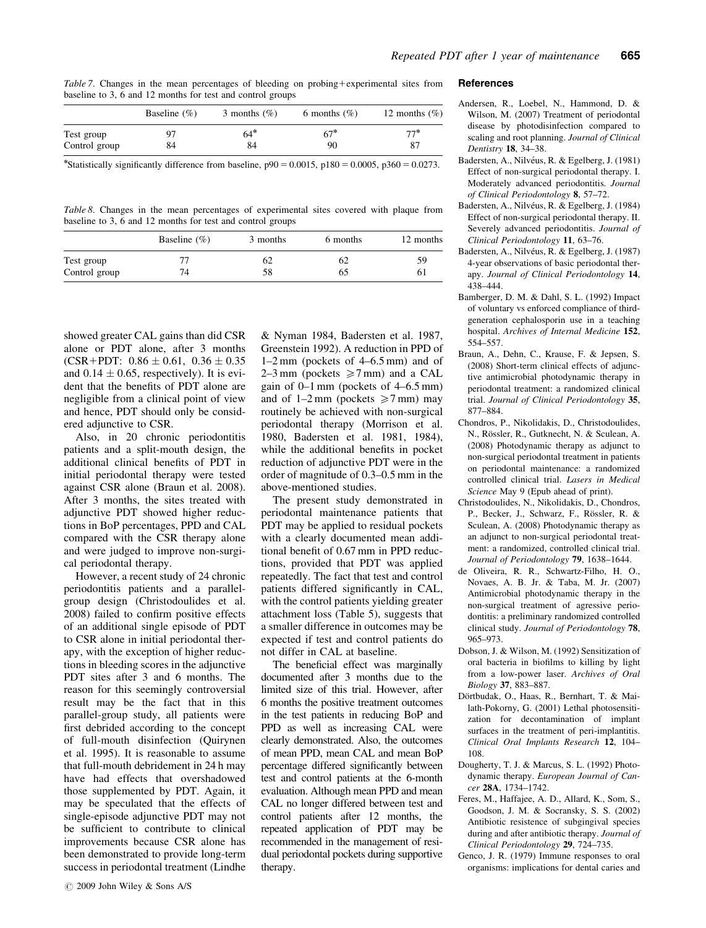Table 7. Changes in the mean percentages of bleeding on probing+experimental sites from baseline to 3, 6 and 12 months for test and control groups

|               | Baseline $(\% )$ | 3 months $(\%)$ | 6 months $(\%)$ | 12 months $(\%)$ |
|---------------|------------------|-----------------|-----------------|------------------|
| Test group    |                  | $64*$           | $67*$           | $77*$            |
| Control group | 84               | 84              | 90              |                  |

\*Statistically significantly difference from baseline,  $p90 = 0.0015$ ,  $p180 = 0.0005$ ,  $p360 = 0.0273$ .

Table 8. Changes in the mean percentages of experimental sites covered with plaque from baseline to 3, 6 and 12 months for test and control groups

|               | Baseline $(\% )$ | 3 months | 6 months | 12 months |
|---------------|------------------|----------|----------|-----------|
| Test group    |                  | 62       | 62       | 59        |
| Control group | 74               | 58       | 60       | 6.        |

showed greater CAL gains than did CSR alone or PDT alone, after 3 months (CSR+PDT:  $0.86 \pm 0.61$ ,  $0.36 \pm 0.35$ and  $0.14 \pm 0.65$ , respectively). It is evident that the benefits of PDT alone are negligible from a clinical point of view and hence, PDT should only be considered adjunctive to CSR.

Also, in 20 chronic periodontitis patients and a split-mouth design, the additional clinical benefits of PDT in initial periodontal therapy were tested against CSR alone (Braun et al. 2008). After 3 months, the sites treated with adjunctive PDT showed higher reductions in BoP percentages, PPD and CAL compared with the CSR therapy alone and were judged to improve non-surgical periodontal therapy.

However, a recent study of 24 chronic periodontitis patients and a parallelgroup design (Christodoulides et al. 2008) failed to confirm positive effects of an additional single episode of PDT to CSR alone in initial periodontal therapy, with the exception of higher reductions in bleeding scores in the adjunctive PDT sites after 3 and 6 months. The reason for this seemingly controversial result may be the fact that in this parallel-group study, all patients were first debrided according to the concept of full-mouth disinfection (Quirynen et al. 1995). It is reasonable to assume that full-mouth debridement in 24 h may have had effects that overshadowed those supplemented by PDT. Again, it may be speculated that the effects of single-episode adjunctive PDT may not be sufficient to contribute to clinical improvements because CSR alone has been demonstrated to provide long-term success in periodontal treatment (Lindhe

& Nyman 1984, Badersten et al. 1987, Greenstein 1992). A reduction in PPD of 1–2 mm (pockets of 4–6.5 mm) and of 2–3 mm (pockets  $\geq 7$  mm) and a CAL gain of 0–1 mm (pockets of 4–6.5 mm) and of 1–2 mm (pockets  $\geq 7$  mm) may routinely be achieved with non-surgical periodontal therapy (Morrison et al. 1980, Badersten et al. 1981, 1984), while the additional benefits in pocket reduction of adjunctive PDT were in the order of magnitude of 0.3–0.5 mm in the above-mentioned studies.

The present study demonstrated in periodontal maintenance patients that PDT may be applied to residual pockets with a clearly documented mean additional benefit of 0.67 mm in PPD reductions, provided that PDT was applied repeatedly. The fact that test and control patients differed significantly in CAL, with the control patients yielding greater attachment loss (Table 5), suggests that a smaller difference in outcomes may be expected if test and control patients do not differ in CAL at baseline.

The beneficial effect was marginally documented after 3 months due to the limited size of this trial. However, after 6 months the positive treatment outcomes in the test patients in reducing BoP and PPD as well as increasing CAL were clearly demonstrated. Also, the outcomes of mean PPD, mean CAL and mean BoP percentage differed significantly between test and control patients at the 6-month evaluation. Although mean PPD and mean CAL no longer differed between test and control patients after 12 months, the repeated application of PDT may be recommended in the management of residual periodontal pockets during supportive therapy.

#### **References**

- Andersen, R., Loebel, N., Hammond, D. & Wilson, M. (2007) Treatment of periodontal disease by photodisinfection compared to scaling and root planning. Journal of Clinical Dentistry 18, 34–38.
- Badersten, A., Nilvéus, R. & Egelberg, J. (1981) Effect of non-surgical periodontal therapy. I. Moderately advanced periodontitis. Journal of Clinical Periodontology 8, 57–72.
- Badersten, A., Nilvéus, R. & Egelberg, J. (1984) Effect of non-surgical periodontal therapy. II. Severely advanced periodontitis. Journal of Clinical Periodontology 11, 63–76.
- Badersten, A., Nilvéus, R. & Egelberg, J. (1987) 4-year observations of basic periodontal therapy. Journal of Clinical Periodontology 14, 438–444.
- Bamberger, D. M. & Dahl, S. L. (1992) Impact of voluntary vs enforced compliance of thirdgeneration cephalosporin use in a teaching hospital. Archives of Internal Medicine 152, 554–557.
- Braun, A., Dehn, C., Krause, F. & Jepsen, S. (2008) Short-term clinical effects of adjunctive antimicrobial photodynamic therapy in periodontal treatment: a randomized clinical trial. Journal of Clinical Periodontology 35, 877–884.
- Chondros, P., Nikolidakis, D., Christodoulides, N., Rössler, R., Gutknecht, N. & Sculean, A. (2008) Photodynamic therapy as adjunct to non-surgical periodontal treatment in patients on periodontal maintenance: a randomized controlled clinical trial. Lasers in Medical Science May 9 (Epub ahead of print).
- Christodoulides, N., Nikolidakis, D., Chondros, P., Becker, J., Schwarz, F., Rössler, R. & Sculean, A. (2008) Photodynamic therapy as an adjunct to non-surgical periodontal treatment: a randomized, controlled clinical trial. Journal of Periodontology 79, 1638-1644.
- de Oliveira, R. R., Schwartz-Filho, H. O., Novaes, A. B. Jr. & Taba, M. Jr. (2007) Antimicrobial photodynamic therapy in the non-surgical treatment of agressive periodontitis: a preliminary randomized controlled clinical study. Journal of Periodontology 78, 965–973.
- Dobson, J. & Wilson, M. (1992) Sensitization of oral bacteria in biofilms to killing by light from a low-power laser. Archives of Oral Biology 37, 883–887.
- Dörtbudak, O., Haas, R., Bernhart, T. & Mailath-Pokorny, G. (2001) Lethal photosensitization for decontamination of implant surfaces in the treatment of peri-implantitis. Clinical Oral Implants Research 12, 104– 108.
- Dougherty, T. J. & Marcus, S. L. (1992) Photodynamic therapy. European Journal of Cancer 28A, 1734–1742.
- Feres, M., Haffajee, A. D., Allard, K., Som, S., Goodson, J. M. & Socransky, S. S. (2002) Antibiotic resistence of subgingival species during and after antibiotic therapy. Journal of Clinical Periodontology 29, 724–735.
- Genco, J. R. (1979) Immune responses to oral organisms: implications for dental caries and